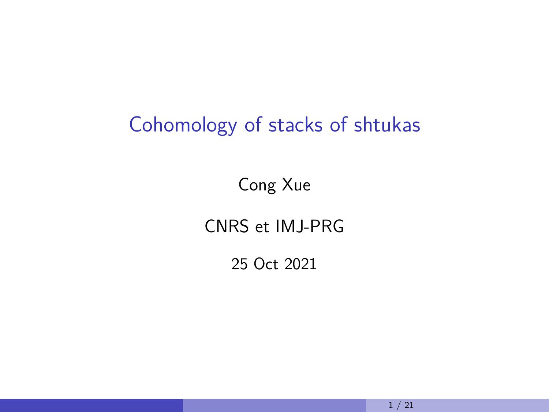# Cohomology of stacks of shtukas

Cong Xue

CNRS et IMJ-PRG

25 Oct 2021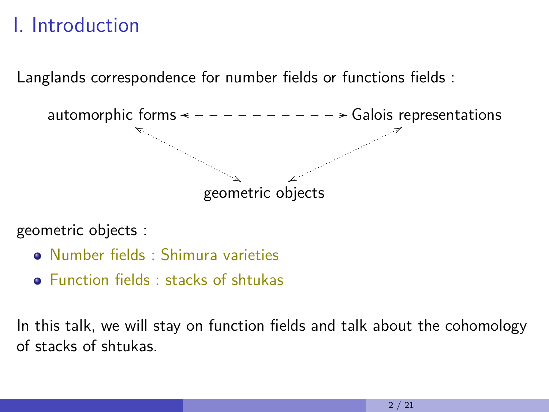# I. Introduction

Langlands correspondence for number fields or functions fields :



geometric objects :

- Number fields : Shimura varieties
- **•** Function fields **:** stacks of shtukas

In this talk, we will stay on function fields and talk about the cohomology of stacks of shtukas.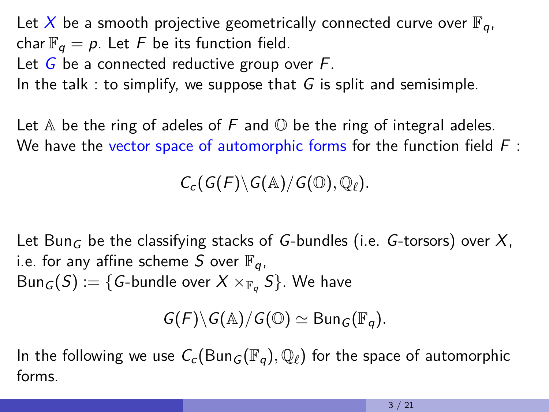Let X be a smooth projective geometrically connected curve over  $\mathbb{F}_q$ , char  $\mathbb{F}_q = p$ . Let F be its function field.

Let  $G$  be a connected reductive group over  $F$ .

In the talk : to simplify, we suppose that  $G$  is split and semisimple.

Let  $\mathbb A$  be the ring of adeles of F and  $\mathbb O$  be the ring of integral adeles. We have the vector space of automorphic forms for the function field  $F$ :

 $C_c(G(F) \setminus G(\mathbb{A})/G(\mathbb{O}), \mathbb{Q}_\ell).$ 

Let Bun<sub>G</sub> be the classifying stacks of G-bundles (i.e. G-torsors) over X, i.e. for any affine scheme S over  $\mathbb{F}_q$ ,  $Bun_G(S) := \{G\text{-bundle over }X\times_{\mathbb{F}_q}S\}$ . We have

 $G(F) \backslash G(\mathbb{A}) / G(\mathbb{O}) \simeq \text{Bun}_{G}(\mathbb{F}_{q}).$ 

In the following we use  $C_c(\text{Bun}_G(\mathbb{F}_q), \mathbb{Q}_\ell)$  for the space of automorphic forms.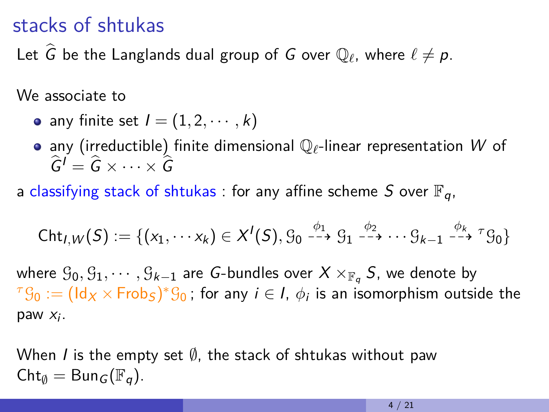## stacks of shtukas

Let  $\widehat{G}$  be the Langlands dual group of  $G$  over  $\mathbb{Q}_\ell$ , where  $\ell \neq p$ .

We associate to

- any finite set  $I = (1, 2, \dots, k)$
- **•** any (irreductible) finite dimensional  $\mathbb{Q}_\ell$ -linear representation W of  $\hat{G}^{\prime} = \hat{G} \times \cdots \times \hat{G}$
- a classifying stack of shtukas : for any affine scheme S over  $\mathbb{F}_q$ ,

$$
\mathsf{Cht}_{I,W}(S):=\{(x_1,\cdots x_k)\in X^I(S),\mathcal{G}_0\stackrel{\phi_1}{\dashrightarrow}\mathcal{G}_1\stackrel{\phi_2}{\dashrightarrow}\cdots\mathcal{G}_{k-1}\stackrel{\phi_k}{\dashrightarrow}{}^{\tau}\mathcal{G}_0\}
$$

where  $G_0, G_1, \cdots, G_{k-1}$  are *G*-bundles over  $X \times_{\mathbb{F}_q} S$ , we denote by  ${}^{\tau} \mathcal{G}_0 := (\mathsf{Id}_X \times \mathsf{Frob}_S)^* \mathcal{G}_0$  ; for any  $i \in I, \, \phi_i$  is an isomorphism outside the paw  $x_i$ .

When I is the empty set  $\emptyset$ , the stack of shtukas without paw  $\mathsf{Cht}_{\emptyset} = \mathsf{Bun}_{G}(\mathbb{F}_{q}).$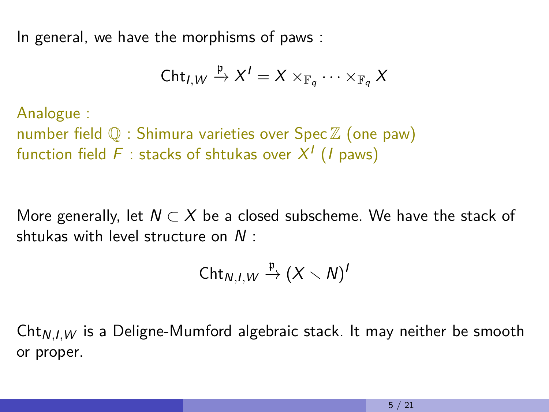In general, we have the morphisms of paws :

$$
\mathsf{Cht}_{I,W}\xrightarrow{\mathfrak{p}} X^I=X\times_{\mathbb{F}_q}\cdots\times_{\mathbb{F}_q}X
$$

Analogue : number field  $\mathbb Q$  : Shimura varieties over Spec  $\mathbb Z$  (one paw) function field  $F$  : stacks of shtukas over  $X^I$   $(I$  paws)

More generally, let  $N \subset X$  be a closed subscheme. We have the stack of shtukas with level structure on N :

$$
\mathsf{Cht}_{N,I,W}\xrightarrow{\mathfrak{p}}(X\smallsetminus N)^{I}
$$

Cht<sub>N,I, W</sub> is a Deligne-Mumford algebraic stack. It may neither be smooth or proper.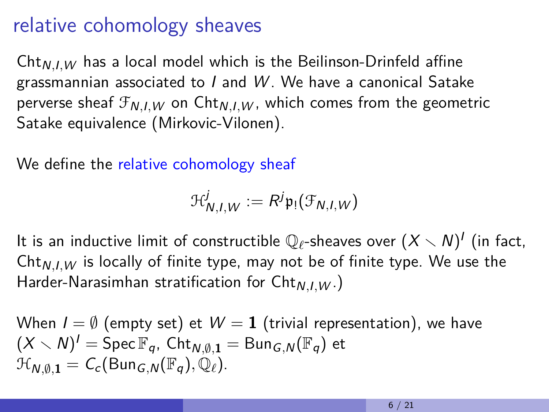## relative cohomology sheaves

 $Cht_{N,I,W}$  has a local model which is the Beilinson-Drinfeld affine grassmannian associated to I and W . We have a canonical Satake perverse sheaf  $\mathcal{F}_{N,I,W}$  on  $\text{Cht}_{N,I,W}$ , which comes from the geometric Satake equivalence (Mirkovic-Vilonen).

We define the relative cohomology sheaf

$$
\mathcal{H}_{N,I,W}^j := R^j \mathfrak{p}_! (\mathcal{F}_{N,I,W})
$$

It is an inductive limit of constructible  $\mathbb{Q}_\ell$ -sheaves over  $(X\smallsetminus N)'$  (in fact, Cht<sub>N,I,W</sub> is locally of finite type, may not be of finite type. We use the Harder-Narasimhan stratification for Cht<sub>N,I,W</sub>.)

When 
$$
I = \emptyset
$$
 (empty set) et  $W = 1$  (trivial representation), we have  
\n $(X \setminus N)^I = \text{Spec } \mathbb{F}_q$ ,  $\text{Cht}_{N,\emptyset,1} = \text{Bun}_{G,N}(\mathbb{F}_q)$  et  
\n $\mathcal{H}_{N,\emptyset,1} = C_c(\text{Bun}_{G,N}(\mathbb{F}_q), \mathbb{Q}_\ell).$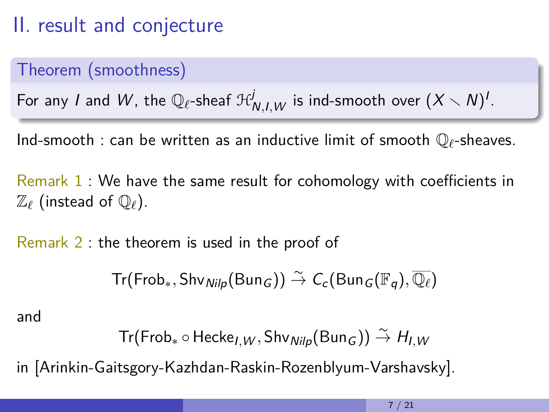# II. result and conjecture

## Theorem (smoothness)

For any  $I$  and  $W$ , the  $\mathbb{Q}_{\ell}$ -sheaf  $\mathfrak{R}^j_{N,I,W}$  is ind-smooth over  $(X\smallsetminus N)^I.$ 

Ind-smooth : can be written as an inductive limit of smooth Q*`*-sheaves.

Remark 1 : We have the same result for cohomology with coefficients in  $\mathbb{Z}_{\ell}$  (instead of  $\mathbb{Q}_{\ell}$ ).

Remark 2 : the theorem is used in the proof of

 $Tr($  Frob<sub>\*</sub>, Shv<sub>Nilp</sub>(Bun<sub>G</sub>))  $\stackrel{\sim}{\to} C_c$ (Bun<sub>G</sub>( $\mathbb{F}_q$ ),  $\overline{\mathbb{Q}_\ell}$ )

and

$$
\mathsf{Tr}(\mathsf{Frob}_* \circ \mathsf{Hecke}_{I,W}, \mathsf{Shv}_{\mathsf{Nilp}}(\mathsf{Bun}_G)) \stackrel{\sim}{\rightarrow} H_{I,W}
$$

in [Arinkin-Gaitsgory-Kazhdan-Raskin-Rozenblyum-Varshavsky].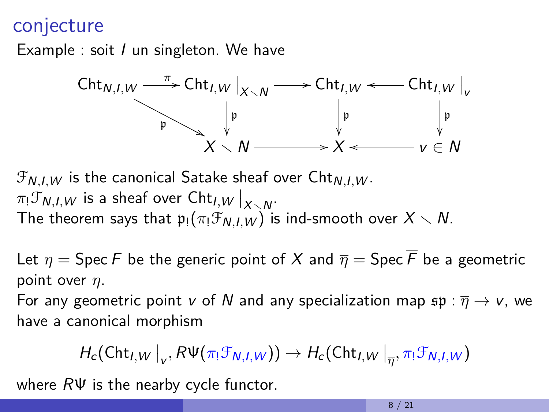## conjecture

Example : soit *I* un singleton. We have



 $\mathcal{F}_{N,I,W}$  is the canonical Satake sheaf over  $\mathsf{Cht}_{N,I,W}$ .  $\pi_!\mathcal{F}_{N,I,W}$  is a sheaf over  $\mathsf{Cht}_{I,W}\big|_{X\searrow N}.$ The theorem says that  $p_!(\pi_!\mathcal{F}_{N,I,W})$  is ind-smooth over  $X \setminus N$ .

Let  $\eta$  = Spec F be the generic point of X and  $\overline{\eta}$  = Spec F be a geometric point over *η*.

For any geometric point  $\overline{v}$  of N and any specialization map  $\mathfrak{sp} : \overline{\eta} \to \overline{v}$ , we have a canonical morphism

$$
H_c(\text{Cht}_{I,W}\big|_{\overline{v}}, R\Psi(\pi_!\mathcal{F}_{N,I,W})) \to H_c(\text{Cht}_{I,W}\big|_{\overline{\eta}}, \pi_!\mathcal{F}_{N,I,W})
$$

where  $R\Psi$  is the nearby cycle functor.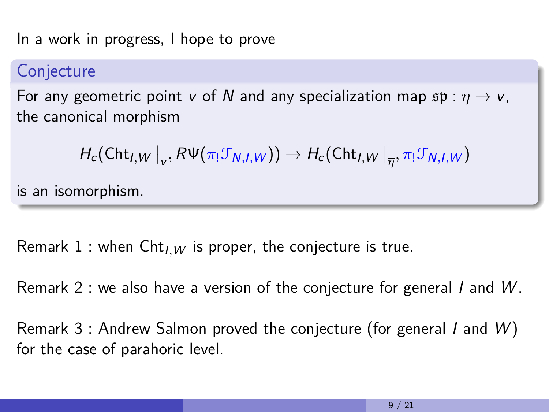In a work in progress, I hope to prove

### **Conjecture**

For any geometric point  $\overline{v}$  of N and any specialization map  $\mathfrak{sp} : \overline{\eta} \to \overline{v}$ , the canonical morphism

$$
H_c(\mathsf{Cht}_{I,W}\big|_{\overline{v}}, R\Psi(\pi_!\mathcal{F}_{N,I,W})) \to H_c(\mathsf{Cht}_{I,W}\big|_{\overline{\eta}}, \pi_!\mathcal{F}_{N,I,W})
$$

is an isomorphism.

Remark 1 : when  $\text{Cht}_{I,W}$  is proper, the conjecture is true.

Remark 2 : we also have a version of the conjecture for general I and W.

Remark 3 : Andrew Salmon proved the conjecture (for general I and  $W$ ) for the case of parahoric level.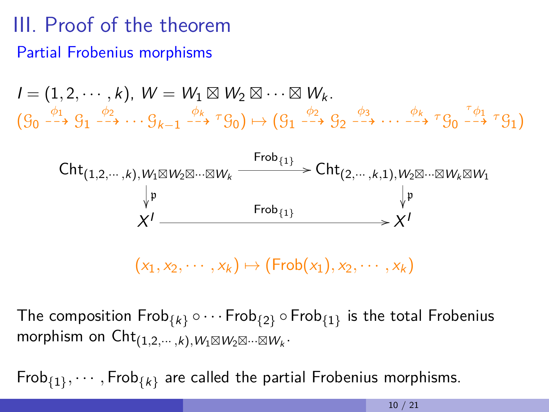# III. Proof of the theorem Partial Frobenius morphisms

$$
I = (1, 2, \cdots, k), W = W_1 \boxtimes W_2 \boxtimes \cdots \boxtimes W_k.
$$
  

$$
(g_0 \xrightarrow{\phi_1} g_1 \xrightarrow{\phi_2} \cdots g_{k-1} \xrightarrow{\phi_k} {}^{\tau} g_0) \mapsto (g_1 \xrightarrow{\phi_2} g_2 \xrightarrow{\phi_3} \cdots \xrightarrow{\phi_k} {}^{\tau} g_0 \xrightarrow{\tau} g_1)
$$



The composition  $\mathsf{Frob}_{\{k\}} \circ \cdots \mathsf{Frob}_{\{2\}} \circ \mathsf{Frob}_{\{1\}}$  is the total  $\mathsf{Frobening}$  ${\sf morphism\; on}\;{\sf Cht}_{(1,2,\cdots,k),W_1\boxtimes W_2\boxtimes\cdots\boxtimes W_k}.$ 

 $\mathsf{Frob}_{\{1\}}, \cdots, \mathsf{Frob}_{\{k\}}$  are called the partial  $\mathsf{Frobenius}$  morphisms.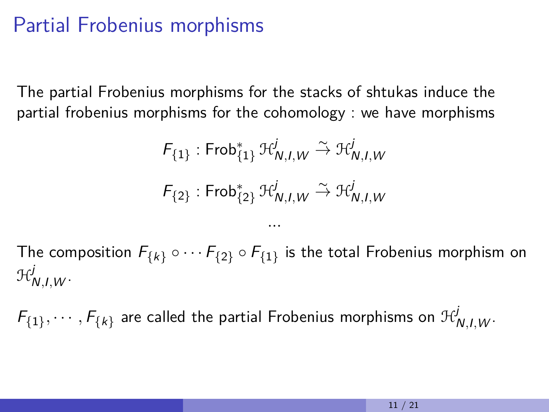## Partial Frobenius morphisms

The partial Frobenius morphisms for the stacks of shtukas induce the partial frobenius morphisms for the cohomology : we have morphisms

$$
F_{\{1\}}: \mathsf{Frob}_{\{1\}}^* \mathcal{H}_{N,I,W}^j \xrightarrow{\sim} \mathcal{H}_{N,I,W}^j
$$

$$
F_{\{2\}}: \mathsf{Frob}_{\{2\}}^* \mathcal{H}_{N,I,W}^j \xrightarrow{\sim} \mathcal{H}_{N,I,W}^j
$$

The composition  $\mathit{F}_{\{k\}}\circ\cdots\mathit{F}_{\{2\}}\circ\mathit{F}_{\{1\}}$  is the total Frobenius morphism on H j <sup>N</sup>*,*I*,*<sup>W</sup> .

*...*

 $\mathcal{F}_{\{1\}}, \cdots, \mathcal{F}_{\{k\}}$  are called the partial Frobenius morphisms on  $\mathcal{H}_{\textsf{N},\textsf{I},\textsf{W}}^{j}.$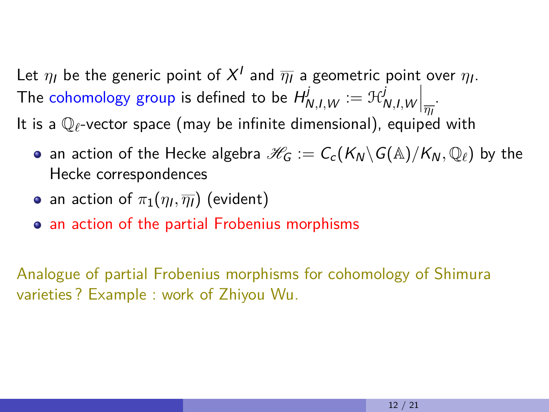Let  $\eta_l$  be the generic point of  $X^I$  and  $\overline{\eta_l}$  a geometric point over  $\eta_l.$ The cohomology group is defined to be  $H^j_{N,I,W}:=\mathfrak{H}^j_I$  $\int_{N,I,W}\Big|_{\overline{\eta_I}}.$ It is a  $\mathbb{Q}_\ell$ -vector space (may be infinite dimensional), equiped with

- an action of the Hecke algebra  $\mathcal{H}_G := C_c(K_N \backslash G(\mathbb{A})/K_N, \mathbb{Q}_\ell)$  by the Hecke correspondences
- an action of  $\pi_1(\eta_I,\overline{\eta_I})$  (evident)
- an action of the partial Frobenius morphisms

Analogue of partial Frobenius morphisms for cohomology of Shimura varieties ? Example : work of Zhiyou Wu.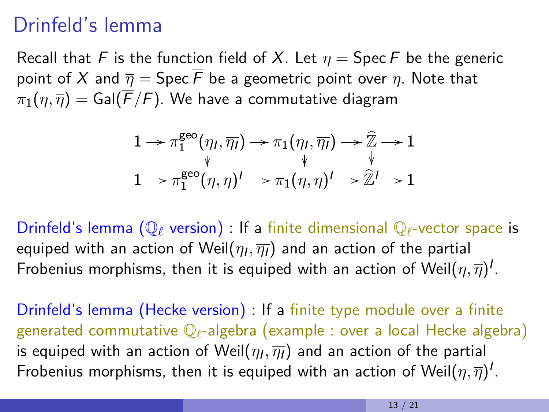## Drinfeld's lemma

Recall that F is the function field of X. Let  $\eta = \text{Spec } F$  be the generic point of X and  $\overline{\eta} = \text{Spec } \overline{F}$  be a geometric point over  $\eta$ . Note that  $\pi_1(\eta, \overline{\eta}) =$  Gal( $\overline{F}/F$ ). We have a commutative diagram

$$
1 \rightarrow \pi_1^{\text{geo}}(\eta_l, \overline{\eta_l}) \rightarrow \pi_1(\eta_l, \overline{\eta_l}) \rightarrow \widehat{\mathbb{Z}} \rightarrow 1
$$
  

$$
\downarrow \qquad \qquad \downarrow \qquad \qquad \downarrow
$$
  

$$
1 \rightarrow \pi_1^{\text{geo}}(\eta, \overline{\eta})' \rightarrow \pi_1(\eta, \overline{\eta})' \rightarrow \widehat{\mathbb{Z}}' \rightarrow 1
$$

Drinfeld's lemma ( $\mathbb{Q}_\ell$  version) : If a finite dimensional  $\mathbb{Q}_\ell$ -vector space is equiped with an action of Weil $(\eta_I,\overline{\eta_I})$  and an action of the partial Frobenius morphisms, then it is equiped with an action of Weil $(\eta,\overline{\eta})^I.$ 

Drinfeld's lemma (Hecke version) : If a finite type module over a finite generated commutative Q*`*-algebra (example : over a local Hecke algebra) is equiped with an action of Weil $(\eta_I,\overline{\eta_I})$  and an action of the partial Frobenius morphisms, then it is equiped with an action of Weil $(\eta,\overline{\eta})^I.$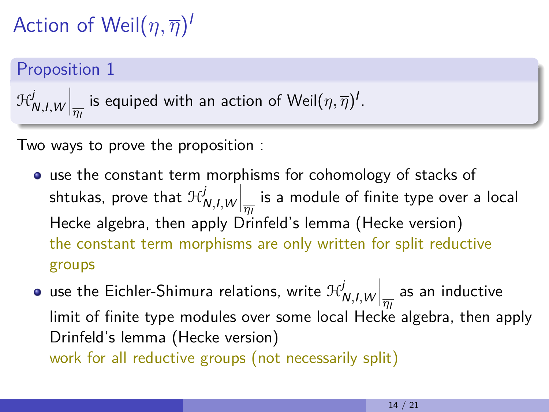# Action of Weil(*η, η*) I

## Proposition 1

$$
\mathcal{H}^j_{\mathsf{N},I,W}\Big|_{\overline{\eta_I}} \text{ is equipped with an action of } \textsf{Weil}(\eta,\overline{\eta})^I.
$$

Two ways to prove the proposition :

- use the constant term morphisms for cohomology of stacks of shtukas, prove that  $\mathcal{H}^j_\ell$  $\left\vert \frac{dN}{dt}\right\vert _{H_{I}}$  is a module of finite type over a local Hecke algebra, then apply Drinfeld's lemma (Hecke version) the constant term morphisms are only written for split reductive groups
- use the Eichler-Shimura relations, write  $\mathcal{H}^j_\ell$  $\int_{N,I,W}^J\bigg|_{\overline{\eta_I}}$  as an inductive limit of finite type modules over some local Hecke algebra, then apply Drinfeld's lemma (Hecke version) work for all reductive groups (not necessarily split)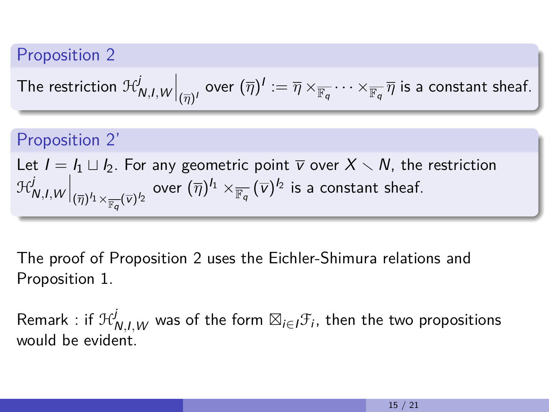## Proposition 2

The restriction 
$$
\mathfrak{R}^j_{N,I,W}\Big|_{(\overline{\eta})^I}
$$
 over  $(\overline{\eta})^I:=\overline{\eta}\times_{\overline{\mathbb{F}_q}}\cdots\times_{\overline{\mathbb{F}_q}}\overline{\eta}$  is a constant sheaf.

### Proposition 2'

Let  $I = I_1 \sqcup I_2$ . For any geometric point  $\overline{v}$  over  $X \setminus N$ , the restriction H j  $\int_{N,I,W}^j \biggl|_{(\overline{\eta})^{I_1} \times_{\overline{\mathbb{F}_q}} (\overline{\nu})^{I_2}}$  over  $(\overline{\eta})^{I_1} \times_{\overline{\mathbb{F}_q}} (\overline{\nu})^{I_2}$  is a constant sheaf.

The proof of Proposition 2 uses the Eichler-Shimura relations and Proposition 1.

Remark : if  $\mathfrak{R}^j_{N,l,W}$  was of the form  $\boxtimes_{i\in I}\mathfrak{F}_i$ , then the two propositions would be evident.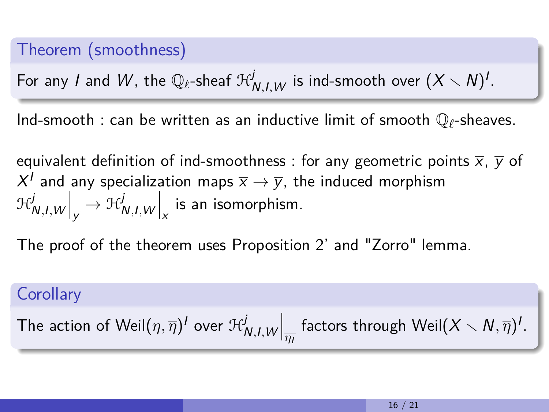### Theorem (smoothness)

For any  $I$  and  $W$ , the  $\mathbb{Q}_{\ell}$ -sheaf  $\mathfrak{R}^j_{N,I,W}$  is ind-smooth over  $(X\smallsetminus N)^I.$ 

Ind-smooth : can be written as an inductive limit of smooth  $\mathbb{Q}_\ell$ -sheaves.

equivalent definition of ind-smoothness : for any geometric points  $\overline{x}$ ,  $\overline{y}$  of  $X^I$  and any specialization maps  $\overline{\mathsf{x}}\rightarrow\overline{\mathsf{y}}$ , the induced morphism H j  $\left. \int_{N,I,W} \right|_{\overline{y}} \rightarrow \mathfrak{H}_{I}^{j}$  $\int_{N,I,W}\Bigl|_{\overline{X}}$  is an isomorphism.

The proof of the theorem uses Proposition 2' and "Zorro" lemma.

#### **Corollary**

The action of Weil
$$
(\eta,\overline{\eta})^I
$$
 over  $\mathcal{H}^j_{N,I,W}\Big|_{\overline{\eta_I}}$  factors through Weil $(X\smallsetminus N,\overline{\eta})^I$ .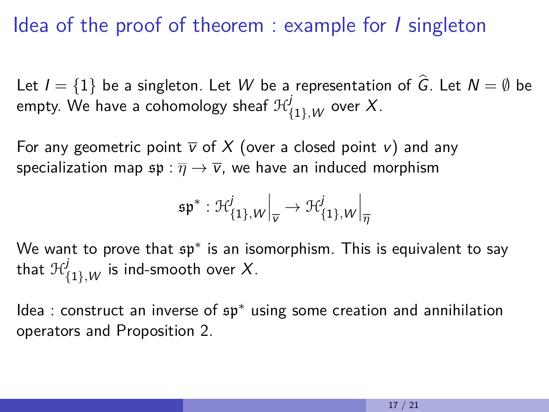## Idea of the proof of theorem : example for I singleton

Let  $I = \{1\}$  be a singleton. Let W be a representation of  $\hat{G}$ . Let  $N = \emptyset$  be empty. We have a cohomology sheaf  $\mathfrak{R}^j_{\{1\},\mathsf{W}}$  over  $X.$ 

For any geometric point  $\overline{v}$  of X (over a closed point v) and any specialization map  $\mathfrak{sp} : \overline{\eta} \to \overline{v}$ , we have an induced morphism

$$
\mathfrak{sp}^* : \mathcal{H}^j_{\{1\},W}\Big|_{\overline{v}} \to \mathcal{H}^j_{\{1\},W}\Big|_{\overline{\eta}}
$$

We want to prove that  $\mathfrak{sp}^*$  is an isomorphism. This is equivalent to say that  $\mathcal{H}_{\{1\},W}^j$  is ind-smooth over  $X.$ 

Idea : construct an inverse of sp<sup>∗</sup> using some creation and annihilation operators and Proposition 2.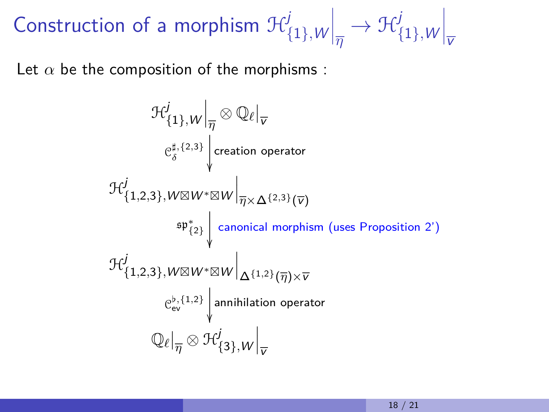Construction of a morphism  $\mathcal{H}_{\beta}^{j}$ {1}*,*W  $\Big|_{\overline{\eta}}$  $\rightarrow \mathcal{H}^j$ {1}*,*W  $\Big|_{\overline{v}}$ 

Let  $\alpha$  be the composition of the morphisms :

$$
\mathcal{H}_{\{1\},W}^j \Big|_{\overline{\eta}} \otimes \mathbb{Q}_\ell \Big|_{\overline{v}}
$$
\n
$$
e_{\delta}^{\sharp,\{2,3\}} \Big|_{\text{creation operator}}
$$
\n
$$
\mathcal{H}_{\{1,2,3\},W\boxtimes W^*\boxtimes W}^j \Big|_{\overline{\eta}\times\Delta^{\{2,3\}}(\overline{v})}
$$
\n
$$
\sup_{\{1,2,3\},W\boxtimes W^*\boxtimes W} \Big|_{\Delta^{\{1,2\}}(\overline{\eta})\times\overline{v}}
$$
\n
$$
\mathcal{H}_{\{1,2,3\},W\boxtimes W^*\boxtimes W}^j \Big|_{\Delta^{\{1,2\}}(\overline{\eta})\times\overline{v}}
$$
\n
$$
e_{ev}^{b,\{1,2\}} \Big|_{\text{annihilation operator}}
$$
\n
$$
\mathbb{Q}_\ell \Big|_{\overline{\eta}} \otimes \mathcal{H}_{\{3\},W}^j \Big|_{\overline{v}}
$$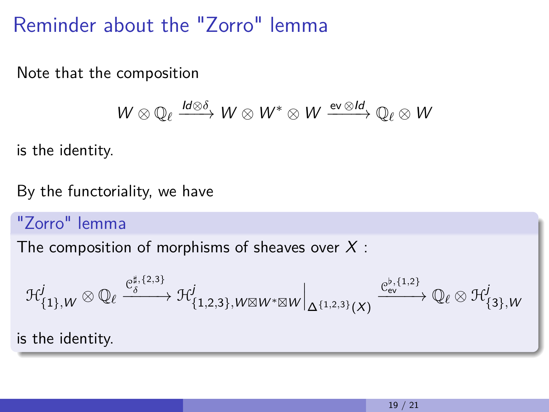Reminder about the "Zorro" lemma

Note that the composition

$$
W\otimes \mathbb{Q}_{\ell} \xrightarrow{Id\otimes \delta} W\otimes W^* \otimes W \xrightarrow{\mathrm{ev}\otimes Id} \mathbb{Q}_{\ell}\otimes W
$$

is the identity.

By the functoriality, we have

### "Zorro" lemma

The composition of morphisms of sheaves over  $X$ :

$$
\mathcal{H}^{j}_{\{1\},W}\otimes \mathbb{Q}_{\ell}\xrightarrow{\mathcal{C}^{\sharp,\{2,3\}}_{\delta}}\mathcal{H}^{j}_{\{1,2,3\},W\boxtimes W^{*}\boxtimes W}\Big|_{\Delta^{\{1,2,3\}}(X)}\xrightarrow{\mathcal{C}^{b,\{1,2\}}_{\text{ev}}}\mathbb{Q}_{\ell}\otimes \mathcal{H}^{j}_{\{3\},W}
$$

is the identity.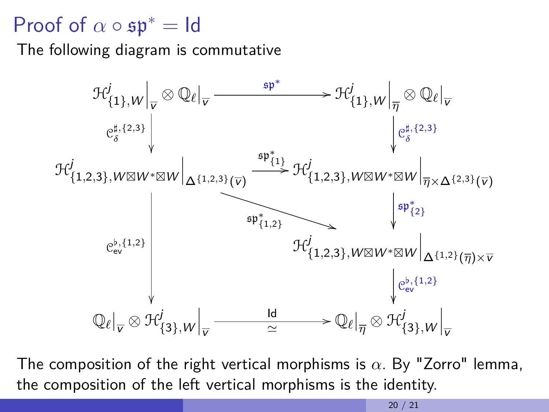## Proof of  $\alpha \circ \mathfrak{sp}^* = \mathsf{Id}$

The following diagram is commutative



The composition of the right vertical morphisms is *α*. By "Zorro" lemma, the composition of the left vertical morphisms is the identity.